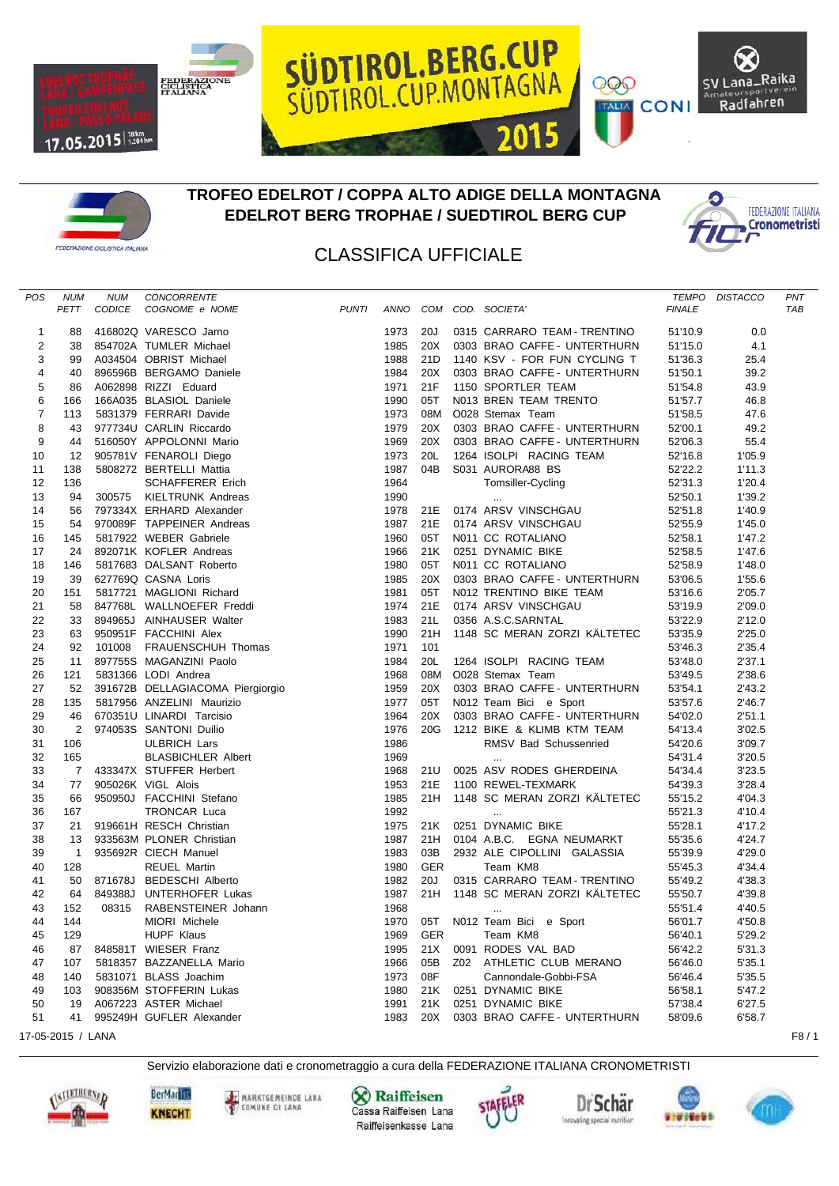





## **TROFEO EDELROT / COPPA ALTO ADIGE DELLA MONTAGNA EDELROT BERG TROPHAE / SUEDTIROL BERG CUP**



SV Lana\_Raika

Radfahren

999

**TALIA** CONI

## CLASSIFICA UFFICIALE

| POS            | <b>NUM</b>     | <b>NUM</b>    | CONCORRENTE                      |              |      |            |                              | <b>TEMPO</b>  | <b>DISTACCO</b> | PNT        |
|----------------|----------------|---------------|----------------------------------|--------------|------|------------|------------------------------|---------------|-----------------|------------|
|                | PETT           | <b>CODICE</b> | COGNOME e NOME                   | <b>PUNTI</b> | ANNO |            | COM COD. SOCIETA'            | <b>FINALE</b> |                 | <b>TAB</b> |
|                |                |               |                                  |              |      |            |                              |               |                 |            |
| 1              | 88             |               | 416802Q VARESCO Jarno            |              | 1973 | 20J        | 0315 CARRARO TEAM - TRENTINO | 51'10.9       | 0.0             |            |
| 2              | 38             |               | 854702A TUMLER Michael           |              | 1985 | 20X        | 0303 BRAO CAFFE - UNTERTHURN | 51'15.0       | 4.1             |            |
| 3              | 99             |               | A034504 OBRIST Michael           |              | 1988 | 21D        | 1140 KSV - FOR FUN CYCLING T | 51'36.3       | 25.4            |            |
| 4              | 40             |               | 896596B BERGAMO Daniele          |              | 1984 | 20X        | 0303 BRAO CAFFE - UNTERTHURN | 51'50.1       | 39.2            |            |
| 5              | 86             |               | A062898 RIZZI Eduard             |              | 1971 | 21F        | 1150 SPORTLER TEAM           | 51'54.8       | 43.9            |            |
| 6              | 166            |               | 166A035 BLASIOL Daniele          |              | 1990 | 05T        | N013 BREN TEAM TRENTO        | 51'57.7       | 46.8            |            |
| $\overline{7}$ | 113            |               | 5831379 FERRARI Davide           |              | 1973 | 08M        | O028 Stemax Team             | 51'58.5       | 47.6            |            |
| 8              | 43             |               | 977734U CARLIN Riccardo          |              | 1979 | 20X        | 0303 BRAO CAFFE - UNTERTHURN | 52'00.1       | 49.2            |            |
| 9              | 44             |               | 516050Y APPOLONNI Mario          |              | 1969 | 20X        | 0303 BRAO CAFFE - UNTERTHURN | 52'06.3       | 55.4            |            |
| 10             | 12             |               | 905781V FENAROLI Diego           |              | 1973 | 20L        | 1264 ISOLPI RACING TEAM      | 52'16.8       | 1'05.9          |            |
| 11             | 138            |               | 5808272 BERTELLI Mattia          |              | 1987 | 04B        | S031 AURORA88 BS             | 52'22.2       | 1'11.3          |            |
| 12             | 136            |               | <b>SCHAFFERER Erich</b>          |              | 1964 |            | Tomsiller-Cycling            | 52'31.3       | 1'20.4          |            |
| 13             | 94             | 300575        | KIELTRUNK Andreas                |              | 1990 |            |                              | 52'50.1       | 1'39.2          |            |
| 14             | 56             |               | 797334X ERHARD Alexander         |              | 1978 | 21E        | 0174 ARSV VINSCHGAU          | 52'51.8       | 1'40.9          |            |
| 15             | 54             |               | 970089F TAPPEINER Andreas        |              | 1987 | 21E        | 0174 ARSV VINSCHGAU          | 52'55.9       | 1'45.0          |            |
| 16             | 145            |               | 5817922 WEBER Gabriele           |              | 1960 | 05T        | N011 CC ROTALIANO            | 52'58.1       | 1'47.2          |            |
| 17             | 24             |               | 892071K KOFLER Andreas           |              | 1966 | 21K        | 0251 DYNAMIC BIKE            | 52'58.5       | 1'47.6          |            |
| 18             | 146            |               | 5817683 DALSANT Roberto          |              | 1980 | 05T        | N011 CC ROTALIANO            | 52'58.9       | 1'48.0          |            |
| 19             | 39             |               | 627769Q CASNA Loris              |              | 1985 | 20X        | 0303 BRAO CAFFE - UNTERTHURN | 53'06.5       | 1'55.6          |            |
| 20             | 151            |               | 5817721 MAGLIONI Richard         |              | 1981 | 05T        | N012 TRENTINO BIKE TEAM      | 53'16.6       | 2'05.7          |            |
| 21             | 58             |               | 847768L WALLNOEFER Freddi        |              | 1974 | 21E        | 0174 ARSV VINSCHGAU          | 53'19.9       | 2'09.0          |            |
| 22             | 33             |               | 894965J AINHAUSER Walter         |              | 1983 | 21L        | 0356 A.S.C.SARNTAL           | 53'22.9       | 2'12.0          |            |
| 23             | 63             |               | 950951F FACCHINI Alex            |              | 1990 | 21H        | 1148 SC MERAN ZORZI KÄLTETEC | 53'35.9       | 2'25.0          |            |
| 24             | 92             |               | 101008 FRAUENSCHUH Thomas        |              | 1971 | 101        |                              | 53'46.3       | 2'35.4          |            |
| 25             | 11             |               | 897755S MAGANZINI Paolo          |              | 1984 | 20L        | 1264 ISOLPI RACING TEAM      | 53'48.0       | 2'37.1          |            |
| 26             | 121            |               | 5831366 LODI Andrea              |              | 1968 | 08M        | O028 Stemax Team             | 53'49.5       | 2'38.6          |            |
| 27             | 52             |               | 391672B DELLAGIACOMA Piergiorgio |              | 1959 | 20X        | 0303 BRAO CAFFE - UNTERTHURN | 53'54.1       | 2'43.2          |            |
| 28             | 135            |               | 5817956 ANZELINI Maurizio        |              | 1977 | 05T        | N012 Team Bici e Sport       | 53'57.6       | 2'46.7          |            |
| 29             | 46             |               | 670351U LINARDI Tarcisio         |              | 1964 | 20X        | 0303 BRAO CAFFE - UNTERTHURN | 54'02.0       | 2'51.1          |            |
| 30             | $\overline{2}$ |               | 974053S SANTONI Duilio           |              | 1976 | 20G        | 1212 BIKE & KLIMB KTM TEAM   | 54'13.4       | 3'02.5          |            |
| 31             | 106            |               | <b>ULBRICH Lars</b>              |              | 1986 |            | RMSV Bad Schussenried        | 54'20.6       | 3'09.7          |            |
| 32             | 165            |               | <b>BLASBICHLER Albert</b>        |              | 1969 |            | $\ddotsc$                    | 54'31.4       | 3'20.5          |            |
| 33             | $\overline{7}$ |               | 433347X STUFFER Herbert          |              | 1968 | 21U        | 0025 ASV RODES GHERDEINA     | 54'34.4       | 3'23.5          |            |
| 34             | 77             |               | 905026K VIGL Alois               |              | 1953 | 21E        | 1100 REWEL-TEXMARK           | 54'39.3       | 3'28.4          |            |
| 35             | 66             |               | 950950J FACCHINI Stefano         |              | 1985 | 21H        | 1148 SC MERAN ZORZI KÄLTETEC | 55'15.2       | 4'04.3          |            |
| 36             | 167            |               | <b>TRONCAR Luca</b>              |              | 1992 |            |                              | 55'21.3       | 4'10.4          |            |
| 37             | 21             |               | 919661H RESCH Christian          |              | 1975 | 21K        | 0251 DYNAMIC BIKE            | 55'28.1       | 4'17.2          |            |
| 38             | 13             |               | 933563M PLONER Christian         |              | 1987 | 21H        | 0104 A.B.C. EGNA NEUMARKT    | 55'35.6       | 4'24.7          |            |
| 39             | $\overline{1}$ |               | 935692R CIECH Manuel             |              | 1983 | 03B        | 2932 ALE CIPOLLINI GALASSIA  | 55'39.9       | 4'29.0          |            |
| 40             | 128            |               | <b>REUEL Martin</b>              |              | 1980 | <b>GER</b> | Team KM8                     | 55'45.3       | 4'34.4          |            |
|                | 50             |               |                                  |              | 1982 | 20J        | 0315 CARRARO TEAM - TRENTINO |               | 4'38.3          |            |
| 41             | 64             |               | 871678J BEDESCHI Alberto         |              |      | 21H        |                              | 55'49.2       |                 |            |
| 42             |                |               | 849388J UNTERHOFER Lukas         |              | 1987 |            | 1148 SC MERAN ZORZI KÄLTETEC | 55'50.7       | 4'39.8          |            |
| 43             | 152            | 08315         | RABENSTEINER Johann              |              | 1968 |            | $\cdots$                     | 55'51.4       | 4'40.5          |            |
| 44             | 144            |               | MIORI Michele                    |              | 1970 | 05T        | N012 Team Bici e Sport       | 56'01.7       | 4'50.8          |            |
| 45             | 129            |               | <b>HUPF Klaus</b>                |              | 1969 | <b>GER</b> | Team KM8                     | 56'40.1       | 5'29.2          |            |
| 46             | 87             |               | 848581T WIESER Franz             |              | 1995 | 21X        | 0091 RODES VAL BAD           | 56'42.2       | 5'31.3          |            |
| 47             | 107            |               | 5818357 BAZZANELLA Mario         |              | 1966 | 05B        | Z02 ATHLETIC CLUB MERANO     | 56'46.0       | 5'35.1          |            |
| 48             | 140            |               | 5831071 BLASS Joachim            |              | 1973 | 08F        | Cannondale-Gobbi-FSA         | 56'46.4       | 5'35.5          |            |
| 49             | 103            |               | 908356M STOFFERIN Lukas          |              | 1980 | 21K        | 0251 DYNAMIC BIKE            | 56'58.1       | 5'47.2          |            |
| 50             | 19             |               | A067223 ASTER Michael            |              | 1991 | 21K        | 0251 DYNAMIC BIKE            | 57'38.4       | 6'27.5          |            |
| 51             | 41             |               | 995249H GUFLER Alexander         |              | 1983 | 20X        | 0303 BRAO CAFFE - UNTERTHURN | 58'09.6       | 6'58.7          |            |

17-05-2015 / LANA F8 / 1

Servizio elaborazione dati e cronometraggio a cura della FEDERAZIONE ITALIANA CRONOMETRISTI



**X** Raiffeisen Cassa Raiffeisen Lana Raiffeisenkasse Lana







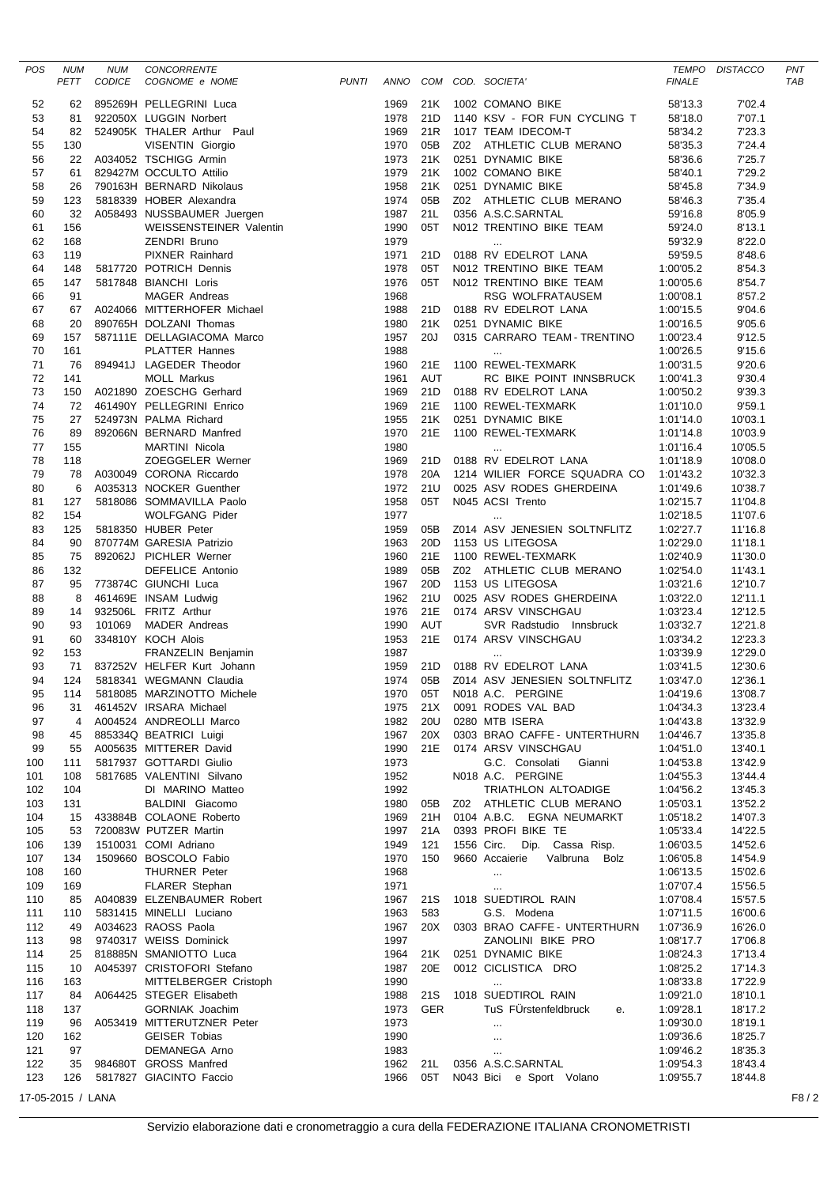| POS        | <b>NUM</b><br>PETT | <b>NUM</b><br><b>CODICE</b> | CONCORRENTE<br>COGNOME e NOME                                                                                                                                                                                                                                          | <b>PUNTI</b> | ANNO         |                 | COM COD. SOCIETA'                                       | <b>FINALE</b>          | TEMPO DISTACCO     | PNT<br><b>TAB</b> |
|------------|--------------------|-----------------------------|------------------------------------------------------------------------------------------------------------------------------------------------------------------------------------------------------------------------------------------------------------------------|--------------|--------------|-----------------|---------------------------------------------------------|------------------------|--------------------|-------------------|
| 52         | 62                 |                             | 895269H PELLEGRINI Luca                                                                                                                                                                                                                                                |              | 1969         | 21K             | 1002 COMANO BIKE                                        | 58'13.3                | 7'02.4             |                   |
| 53         | 81                 |                             | 895269H PELLEGRINI Luca<br>922050X LUGGIN Norbert<br>524905K THALER Arthur Paul<br>VISENTIN Giorgio<br>A034052 TSCHIGG Armin<br>829427M OCCULTO Attilio<br>790163H BERNARD Nikolaus<br>5818339 HOBER Alexandra<br>A058493 NUSSBAUMER Juergen<br>WEISSENST              |              | 1978         | 21D             | 1140 KSV - FOR FUN CYCLING T                            | 58'18.0                | 7'07.1             |                   |
| 54         | 82                 |                             |                                                                                                                                                                                                                                                                        |              | 1969         | 21R             | 1017 TEAM IDECOM-T                                      | 58'34.2                | 7'23.3             |                   |
| 55         | 130                |                             |                                                                                                                                                                                                                                                                        |              | 1970         | 05B             | Z02 ATHLETIC CLUB MERANO                                | 58'35.3                | 7'24.4             |                   |
| 56         | 22                 |                             |                                                                                                                                                                                                                                                                        |              | 1973         | 21K             | 0251 DYNAMIC BIKE                                       | 58'36.6                | 7'25.7             |                   |
| 57<br>58   | 61<br>26           |                             |                                                                                                                                                                                                                                                                        |              | 1979<br>1958 | 21K<br>21K      | 1002 COMANO BIKE<br>0251 DYNAMIC BIKE                   | 58'40.1<br>58'45.8     | 7'29.2<br>7'34.9   |                   |
| 59         | 123                |                             |                                                                                                                                                                                                                                                                        |              | 1974         | 05B             | Z02 ATHLETIC CLUB MERANO                                | 58'46.3                | 7'35.4             |                   |
| 60         | 32                 |                             |                                                                                                                                                                                                                                                                        |              | 1987         | 21L             | 0356 A.S.C.SARNTAL                                      | 59'16.8                | 8'05.9             |                   |
| 61         | 156                |                             |                                                                                                                                                                                                                                                                        |              | 1990         | 05T             | N012 TRENTINO BIKE TEAM                                 | 59'24.0                | 8'13.1             |                   |
| 62         | 168                |                             |                                                                                                                                                                                                                                                                        |              | 1979         |                 |                                                         | 59'32.9                | 8'22.0             |                   |
| 63         | 119                |                             |                                                                                                                                                                                                                                                                        |              | 1971         | 21D             | 0188 RV EDELROT LANA                                    | 59'59.5                | 8'48.6             |                   |
| 64         | 148                |                             | 5817720 POTRICH Dennis                                                                                                                                                                                                                                                 |              | 1978         | 05T<br>05T      | N012 TRENTINO BIKE TEAM                                 | 1:00'05.2              | 8'54.3             |                   |
| 65<br>66   | 147<br>91          |                             | 5817848 BIANCHI Loris<br>MAGER Andreas                                                                                                                                                                                                                                 |              | 1976<br>1968 |                 | N012 TRENTINO BIKE TEAM<br>RSG WOLFRATAUSEM             | 1:00'05.6<br>1:00'08.1 | 8'54.7<br>8'57.2   |                   |
| 67         | 67                 |                             |                                                                                                                                                                                                                                                                        |              | 1988         | 21D             | 0188 RV EDELROT LANA                                    | 1:00'15.5              | 9'04.6             |                   |
| 68         | 20                 |                             | A024066  MITTERHOFER  Michael<br>890765H  DOLZANI  Thomas                                                                                                                                                                                                              |              | 1980         | 21K             | 0251 DYNAMIC BIKE                                       | 1:00'16.5              | 9'05.6             |                   |
| 69         | 157                |                             | 587111E DELLAGIACOMA Marco<br>EXAM Thomas<br>LAGIACOMA Marco<br>ATTER Hannes<br>GEDER Theodor<br>OLL Markus<br>OESCHG Gerhard<br>PELLEGRINI Enrico<br>PALMA Richard<br>BERNARD Manfred<br>MARTINI Nicola<br>ZOEGGELER Werner<br>J CORONA Riccardo<br>3 NOCKER Guenther |              | 1957         | 20J             | 0315 CARRARO TEAM - TRENTINO                            | 1:00'23.4              | 9'12.5             |                   |
| 70         | 161                |                             |                                                                                                                                                                                                                                                                        |              | 1988         |                 | $\cdots$                                                | 1:00'26.5              | 9'15.6             |                   |
| 71         | 76                 |                             | 894941J LAGEDER Theodor                                                                                                                                                                                                                                                |              | 1960         | 21E             | 1100 REWEL-TEXMARK                                      | 1:00'31.5              | 9'20.6             |                   |
| 72         | 141                |                             |                                                                                                                                                                                                                                                                        |              | 1961         | <b>AUT</b>      | RC BIKE POINT INNSBRUCK                                 | 1:00'41.3              | 9'30.4             |                   |
| 73<br>74   | 150<br>72          |                             | A021890 ZOESCHG Gerhard<br>461490Y PELLEGRINI Enrico                                                                                                                                                                                                                   |              | 1969<br>1969 | 21D<br>21E      | 0188 RV EDELROT LANA<br>1100 REWEL-TEXMARK              | 1:00'50.2<br>1:01'10.0 | 9'39.3<br>9'59.1   |                   |
| 75         | 27                 |                             | 524973N PALMA Richard                                                                                                                                                                                                                                                  |              | 1955         | 21K             | 0251 DYNAMIC BIKE                                       | 1:01'14.0              | 10'03.1            |                   |
| 76         | 89                 |                             | 892066N BERNARD Manfred                                                                                                                                                                                                                                                |              | 1970         | 21E             | 1100 REWEL-TEXMARK                                      | 1:01'14.8              | 10'03.9            |                   |
| 77         | 155                |                             |                                                                                                                                                                                                                                                                        |              | 1980         |                 |                                                         | 1:01'16.4              | 10'05.5            |                   |
| 78         | 118                |                             |                                                                                                                                                                                                                                                                        |              | 1969         | 21D             | 0188 RV EDELROT LANA                                    | 1:01'18.9              | 10'08.0            |                   |
| 79         | 78                 |                             | A030049 CORONA Riccardo                                                                                                                                                                                                                                                |              | 1978         | 20A             | 1214 WILIER FORCE SQUADRA CO 1:01'43.2                  |                        | 10'32.3            |                   |
| 80         | 6                  |                             | A035313 NOCKER Guenther                                                                                                                                                                                                                                                |              | 1972         | 21U             | 0025 ASV RODES GHERDEINA                                | 1:01'49.6              | 10'38.7            |                   |
| 81<br>82   | 127<br>154         |                             | 5818086 SOMMAVILLA Paolo<br>WOLFGANG Pider                                                                                                                                                                                                                             |              | 1958<br>1977 | 05T             | N045 ACSI Trento                                        | 1:02'15.7<br>1:02'18.5 | 11'04.8<br>11'07.6 |                   |
| 83         | 125                |                             | 5818350 HUBER Peter                                                                                                                                                                                                                                                    |              | 1959         | 05B             | Z014 ASV JENESIEN SOLTNFLITZ                            | 1:02'27.7              | 11'16.8            |                   |
| 84         | 90                 |                             | 870774M GARESIA Patrizio                                                                                                                                                                                                                                               |              | 1963         | 20D             | 1153 US LITEGOSA                                        | 1:02'29.0              | 11'18.1            |                   |
| 85         | 75                 |                             | 892062J PICHLER Werner                                                                                                                                                                                                                                                 |              | 1960         | 21E             | 1100 REWEL-TEXMARK                                      | 1:02'40.9              | 11'30.0            |                   |
| 86         | 132                |                             | DEFELICE Antonio                                                                                                                                                                                                                                                       |              | 1989         | 05B             | Z02 ATHLETIC CLUB MERANO                                | 1:02'54.0              | 11'43.1            |                   |
| 87         | 95                 |                             | 773874C GIUNCHI Luca                                                                                                                                                                                                                                                   |              | 1967         | 20 <sub>D</sub> | 1153 US LITEGOSA                                        | 1:03'21.6              | 12'10.7            |                   |
| 88         | 8                  |                             | 461469E INSAM Ludwig<br>932506L FRITZ Arthur                                                                                                                                                                                                                           |              | 1962         | 21U<br>21E      | 0025 ASV RODES GHERDEINA                                | 1:03'22.0              | 12'11.1            |                   |
| 89<br>90   | 14<br>93           |                             | 101069 MADER Andreas                                                                                                                                                                                                                                                   |              | 1976<br>1990 | <b>AUT</b>      | 0174 ARSV VINSCHGAU<br>SVR Radstudio Innsbruck          | 1:03'23.4<br>1:03'32.7 | 12'12.5<br>12'21.8 |                   |
| 91         | 60                 |                             | 334810Y KOCH Alois                                                                                                                                                                                                                                                     |              | 1953         | 21E             | 0174 ARSV VINSCHGAU                                     | 1:03'34.2              | 12'23.3            |                   |
| 92         | 153                |                             | FRANZELIN Benjamin                                                                                                                                                                                                                                                     |              | 1987         |                 | $\ldots$                                                | 1:03'39.9              | 12'29.0            |                   |
| 93         | 71                 |                             | 837252V HELFER Kurt Johann                                                                                                                                                                                                                                             |              | 1959         | 21D             | 0188 RV EDELROT LANA                                    | 1:03'41.5              | 12'30.6            |                   |
| 94         | 124                |                             | 5818341 WEGMANN Claudia                                                                                                                                                                                                                                                |              | 1974         |                 | 05B Z014 ASV JENESIEN SOLTNFLITZ                        | 1:03'47.0              | 12'36.1            |                   |
| 95         | 114                |                             | 5818085 MARZINOTTO Michele                                                                                                                                                                                                                                             |              | 1970         |                 | 05T N018 A.C. PERGINE                                   | 1:04'19.6              | 13'08.7            |                   |
| 96<br>97   |                    |                             | 31 461452V IRSARA Michael<br>4 A004524 ANDREOLLI Marco                                                                                                                                                                                                                 |              | 1982         |                 | 1975 21X 0091 RODES VAL BAD<br>20U 0280 MTB ISERA       | 1:04'34.3<br>1:04'43.8 | 13'23.4<br>13'32.9 |                   |
| 98         | 45                 |                             | 885334Q BEATRICI Luigi                                                                                                                                                                                                                                                 |              | 1967 20X     |                 | 0303 BRAO CAFFE - UNTERTHURN                            | 1:04'46.7              | 13'35.8            |                   |
| 99         | 55                 |                             | A005635 MITTERER David                                                                                                                                                                                                                                                 |              | 1990 21E     |                 | 0174 ARSV VINSCHGAU                                     | 1:04'51.0              | 13'40.1            |                   |
| 100        | 111                |                             | 5817937 GOTTARDI Giulio                                                                                                                                                                                                                                                |              | 1973         |                 | G.C. Consolati Gianni                                   | 1:04'53.8              | 13'42.9            |                   |
| 101        | 108                |                             | 5817685 VALENTINI Silvano                                                                                                                                                                                                                                              |              | 1952         |                 | N018 A.C. PERGINE                                       | 1:04'55.3              | 13'44.4            |                   |
| 102        | 104                |                             | DI MARINO Matteo                                                                                                                                                                                                                                                       |              | 1992         |                 | TRIATHLON ALTOADIGE                                     | 1:04'56.2              | 13'45.3            |                   |
| 103        | 131                |                             | BALDINI Giacomo<br>15 433884B COLAONE Roberto                                                                                                                                                                                                                          |              | 1980         | 05B             | Z02 ATHLETIC CLUB MERANO                                | 1:05'03.1              | 13'52.2<br>14'07.3 |                   |
| 104<br>105 | 53                 |                             | 720083W PUTZER Martin                                                                                                                                                                                                                                                  |              | 1969<br>1997 |                 | 21H 0104 A.B.C. EGNA NEUMARKT<br>21A 0393 PROFI BIKE TE | 1:05'18.2<br>1:05'33.4 | 14'22.5            |                   |
| 106        | 139                |                             | 1510031 COMI Adriano                                                                                                                                                                                                                                                   |              | 1949         | 121             | 1556 Circ. Dip. Cassa Risp.                             | 1:06'03.5              | 14'52.6            |                   |
| 107        | 134                |                             | 1509660 BOSCOLO Fabio                                                                                                                                                                                                                                                  |              | 1970         | 150             | 9660 Accaierie Valbruna Bolz                            | 1:06'05.8              | 14'54.9            |                   |
| 108        | 160                |                             | <b>THURNER Peter</b>                                                                                                                                                                                                                                                   |              | 1968         |                 | $\sim$                                                  | 1:06'13.5              | 15'02.6            |                   |
| 109        | 169                |                             | <b>FLARER Stephan</b>                                                                                                                                                                                                                                                  |              | 1971         |                 | $\sim$                                                  | 1:07'07.4              | 15'56.5            |                   |
| 110        |                    |                             | 85 A040839 ELZENBAUMER Robert                                                                                                                                                                                                                                          |              | 1967         |                 | 21S 1018 SUEDTIROL RAIN                                 | 1:07'08.4              | 15'57.5            |                   |
| 111        | 110                |                             | 5831415 MINELLI Luciano                                                                                                                                                                                                                                                |              | 1963         | 583             | G.S. Modena<br>20X 0303 BRAO CAFFE - UNTERTHURN         | 1:07'11.5              | 16'00.6            |                   |
| 112<br>113 | 49<br>98           |                             | A034623 RAOSS Paola<br>9740317 WEISS Dominick                                                                                                                                                                                                                          |              | 1967<br>1997 |                 | ZANOLINI BIKE PRO                                       | 1:07'36.9<br>1:08'17.7 | 16'26.0<br>17'06.8 |                   |
| 114        | 25                 |                             | 818885N SMANIOTTO Luca                                                                                                                                                                                                                                                 |              | 1964         |                 | 21K 0251 DYNAMIC BIKE                                   | 1:08'24.3              | 17'13.4            |                   |
| 115        | 10                 |                             | A045397 CRISTOFORI Stefano                                                                                                                                                                                                                                             |              | 1987         | 20E             | 0012 CICLISTICA DRO                                     | 1:08'25.2              | 17'14.3            |                   |
| 116        | 163                |                             | CRISTOFORI Sterano<br>MITTELBERGER Cristoph                                                                                                                                                                                                                            |              | 1990         |                 | $\cdots$                                                | 1:08'33.8              | 17'22.9            |                   |
| 117        | 84                 |                             | A064425 STEGER Elisabeth                                                                                                                                                                                                                                               |              | 1988         |                 | 21S 1018 SUEDTIROL RAIN                                 | 1:09'21.0              | 18'10.1            |                   |
| 118        | 137                |                             | GORNIAK Joachim                                                                                                                                                                                                                                                        |              | 1973         | <b>GER</b>      | TuS FÜrstenfeldbruck<br>е.                              | 1:09'28.1              | 18'17.2            |                   |
| 119<br>120 | 96<br>162          |                             | A053419 MITTERUTZNER Peter<br><b>GEISER Tobias</b>                                                                                                                                                                                                                     |              | 1973<br>1990 |                 | $\cdots$                                                | 1:09'30.0<br>1:09'36.6 | 18'19.1<br>18'25.7 |                   |
| 121        | 97                 |                             | DEMANEGA Arno                                                                                                                                                                                                                                                          |              | 1983         |                 | $\cdots$<br>$\ldots$                                    | 1:09'46.2              | 18'35.3            |                   |
| 122        |                    |                             | 35 984680T GROSS Manfred                                                                                                                                                                                                                                               |              |              |                 | 1962 21L 0356 A.S.C.SARNTAL                             | 1:09'54.3              | 18'43.4            |                   |
| 123        |                    |                             | 126 5817827 GIACINTO Faccio                                                                                                                                                                                                                                            |              |              |                 | 1966 05T N043 Bici e Sport Volano                       | 1:09'55.7              | 18'44.8            |                   |
|            | 17-05-2015 / LANA  |                             |                                                                                                                                                                                                                                                                        |              |              |                 |                                                         |                        |                    | F8/2              |
|            |                    |                             |                                                                                                                                                                                                                                                                        |              |              |                 |                                                         |                        |                    |                   |